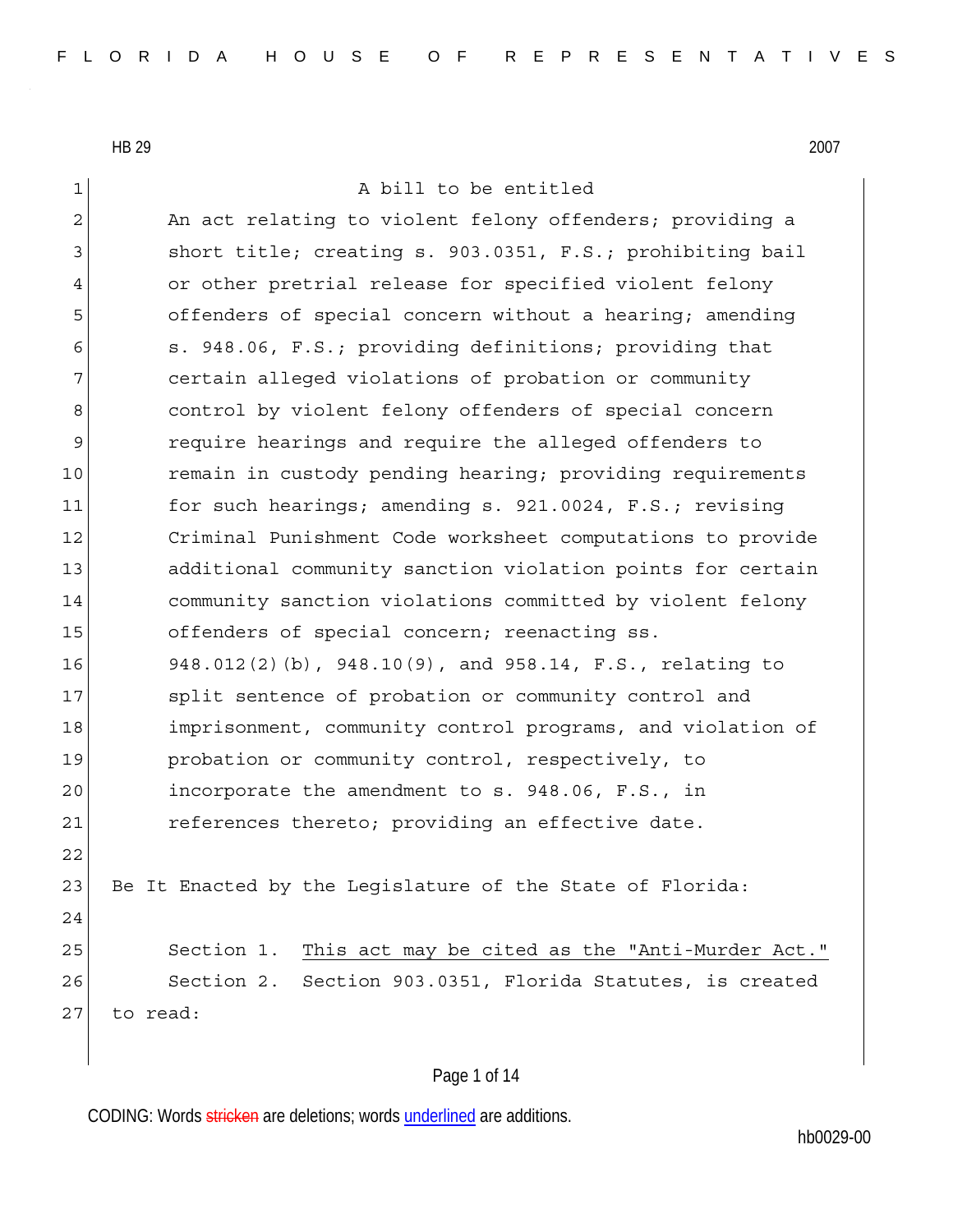1 a bill to be entitled

2 An act relating to violent felony offenders; providing a 3 3 short title; creating s. 903.0351, F.S.; prohibiting bail 4 or other pretrial release for specified violent felony 5 offenders of special concern without a hearing; amending 6 s. 948.06, F.S.; providing definitions; providing that 7 certain alleged violations of probation or community 8 8 8 control by violent felony offenders of special concern 9 require hearings and require the alleged offenders to 10 remain in custody pending hearing; providing requirements 11 for such hearings; amending s. 921.0024, F.S.; revising 12 Criminal Punishment Code worksheet computations to provide 13 additional community sanction violation points for certain 14 community sanction violations committed by violent felony 15 offenders of special concern; reenacting ss. 16 948.012(2)(b), 948.10(9), and 958.14, F.S., relating to 17 Split sentence of probation or community control and 18 imprisonment, community control programs, and violation of 19 probation or community control, respectively, to 20 incorporate the amendment to s. 948.06, F.S., in 21 **references thereto; providing an effective date.** 22 23 Be It Enacted by the Leqislature of the State of Florida: 24 25 Section 1. This act may be cited as the "Anti-Murder Act." 26 Section 2. Section 903.0351, Florida Statutes, is created 27 to read:

#### Page 1 of 14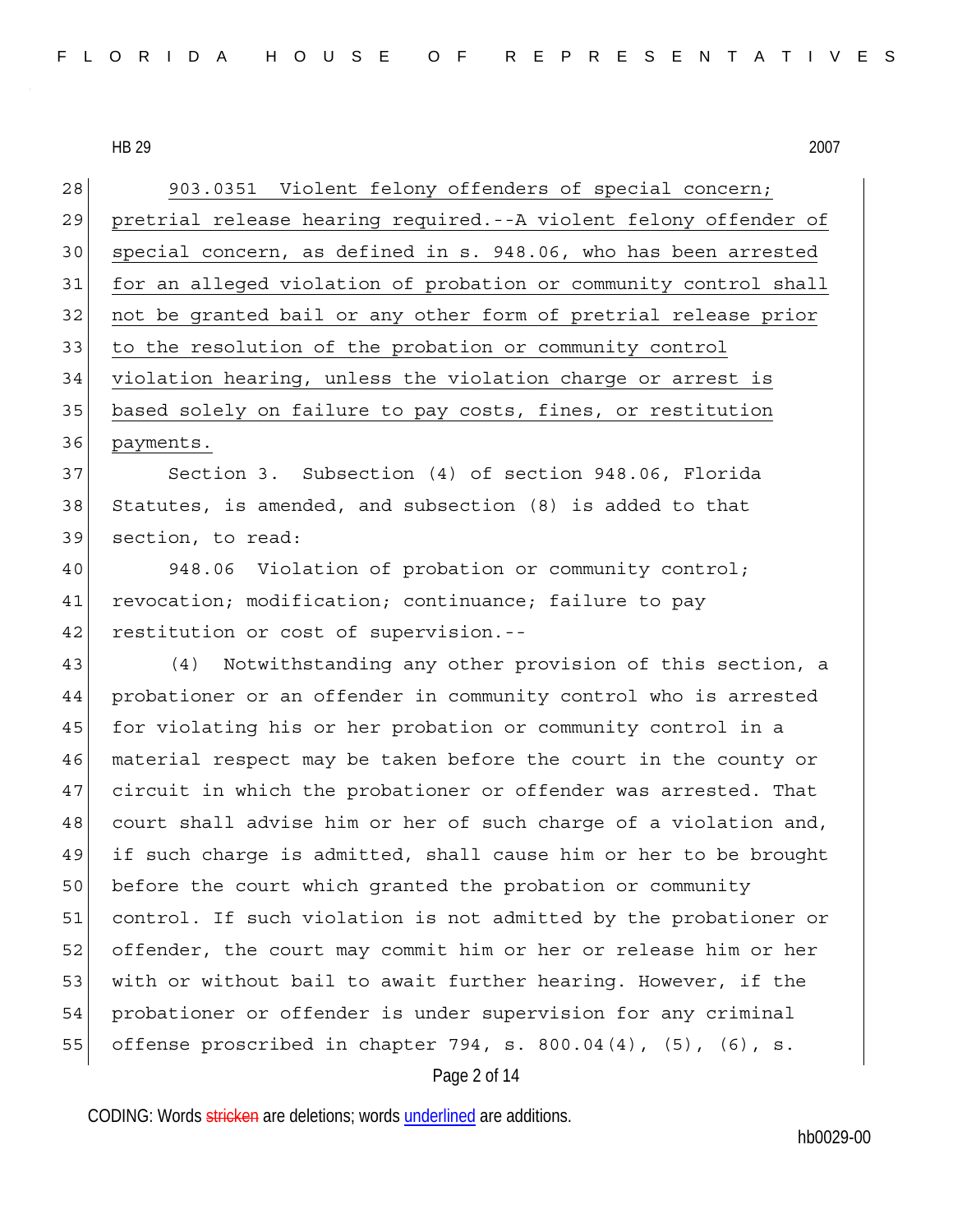Page 2 of 14 28 903.0351 Violent felony offenders of special concern; 29 pretrial release hearing required.--A violent felony offender of 30 special concern, as defined in s. 948.06, who has been arrested 31 for an alleged violation of probation or community control shall 32 not be granted bail or any other form of pretrial release prior 33 to the resolution of the probation or community control 34 violation hearing, unless the violation charge or arrest is 35 based solely on failure to pay costs, fines, or restitution 36 payments. 37 Section 3. Subsection (4) of section 948.06, Florida 38 Statutes, is amended, and subsection (8) is added to that 39 section, to read: 40 948.06 Violation of probation or community control; 41 revocation; modification; continuance; failure to pay 42 restitution or cost of supervision.--43 (4) Notwithstanding any other provision of this section, a 44 probationer or an offender in community control who is arrested 45 for violating his or her probation or community control in a 46 material respect may be taken before the court in the county or 47 circuit in which the probationer or offender was arrested. That 48 court shall advise him or her of such charge of a violation and, 49 if such charge is admitted, shall cause him or her to be brought 50 before the court which granted the probation or community 51 control. If such violation is not admitted by the probationer or 52 offender, the court may commit him or her or release him or her 53 | with or without bail to await further hearing. However, if the 54 probationer or offender is under supervision for any criminal 55 offense proscribed in chapter 794, s. 800.04 $(4)$ ,  $(5)$ ,  $(6)$ , s.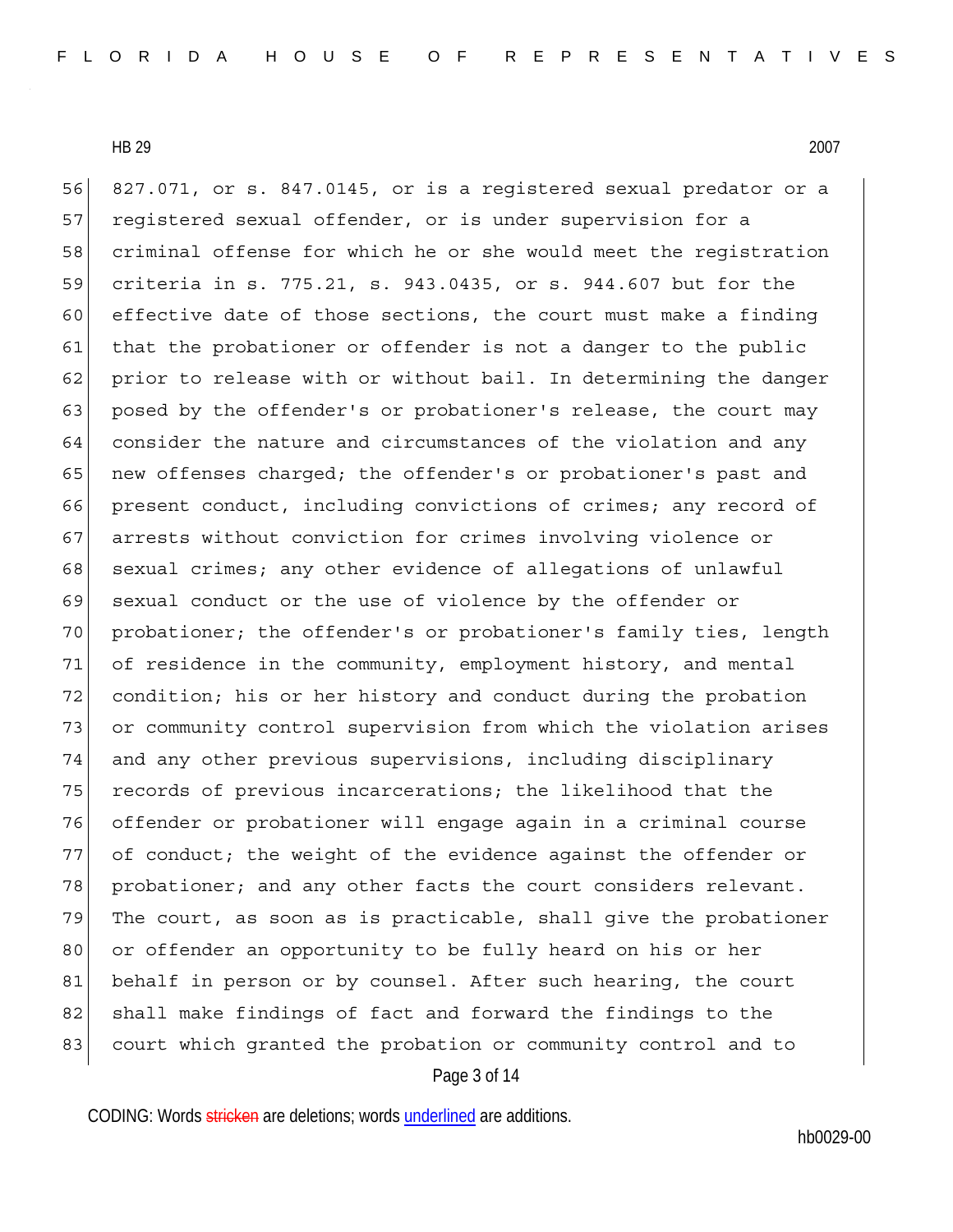Page 3 of 14 56 827.071, or s. 847.0145, or is a registered sexual predator or a 57 registered sexual offender, or is under supervision for a 58 criminal offense for which he or she would meet the registration 59 criteria in s. 775.21, s. 943.0435, or s. 944.607 but for the 60 effective date of those sections, the court must make a finding 61 that the probationer or offender is not a danger to the public 62 prior to release with or without bail. In determining the danger 63 posed by the offender's or probationer's release, the court may 64 consider the nature and circumstances of the violation and any 65 new offenses charged; the offender's or probationer's past and 66 present conduct, including convictions of crimes; any record of 67 arrests without conviction for crimes involving violence or 68 sexual crimes; any other evidence of allegations of unlawful 69 sexual conduct or the use of violence by the offender or 70 probationer; the offender's or probationer's family ties, length 71 of residence in the community, employment history, and mental 72 condition; his or her history and conduct during the probation 73 or community control supervision from which the violation arises 74 and any other previous supervisions, including disciplinary 75 records of previous incarcerations; the likelihood that the 76 offender or probationer will engage again in a criminal course 77 of conduct; the weight of the evidence against the offender or 78 probationer; and any other facts the court considers relevant. 79 The court, as soon as is practicable, shall give the probationer 80 or offender an opportunity to be fully heard on his or her 81 behalf in person or by counsel. After such hearing, the court 82 shall make findings of fact and forward the findings to the 83 court which granted the probation or community control and to

CODING: Words stricken are deletions; words underlined are additions.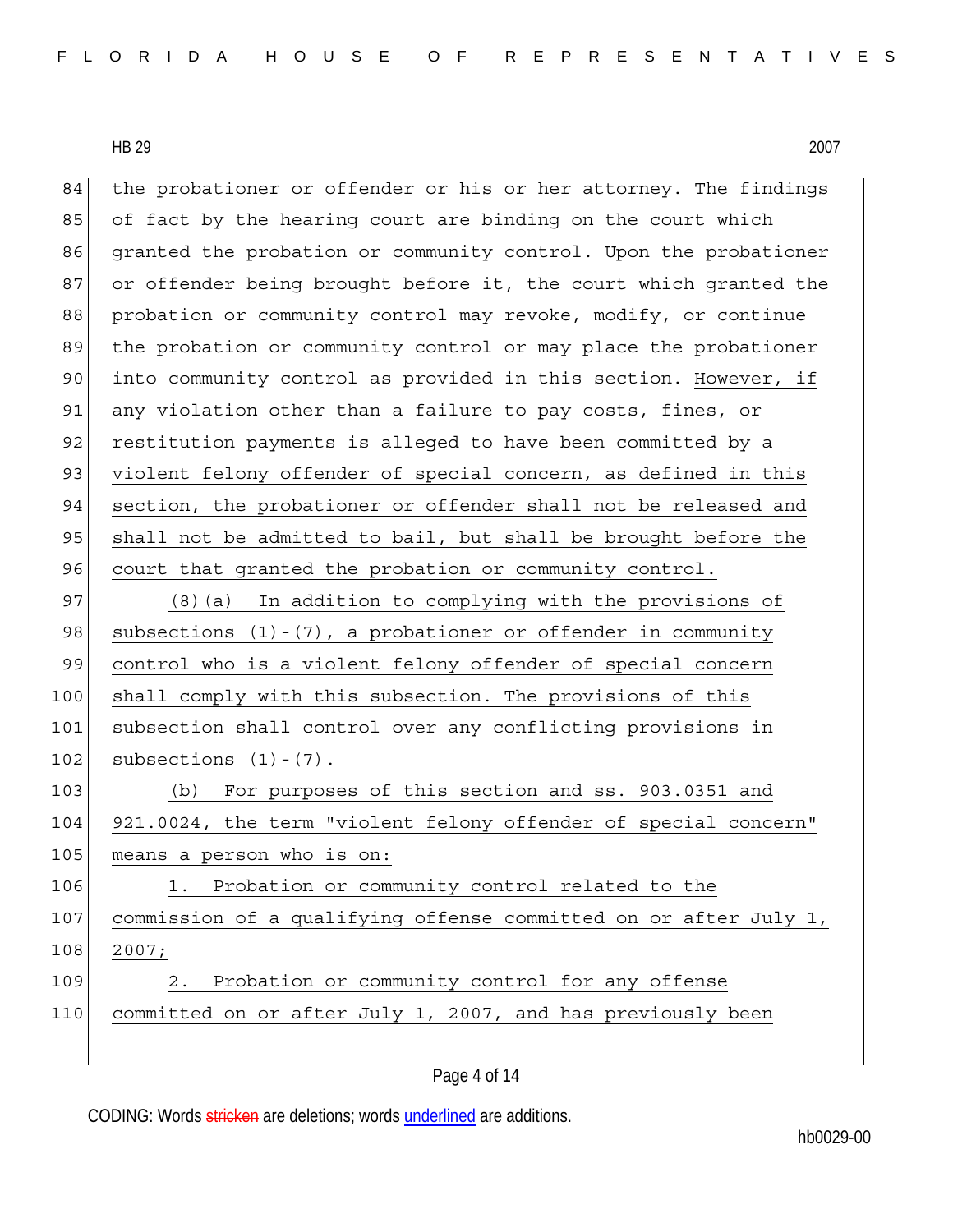84 the probationer or offender or his or her attorney. The findings 85 of fact by the hearing court are binding on the court which 86 granted the probation or community control. Upon the probationer 87 or offender being brought before it, the court which granted the 88 probation or community control may revoke, modify, or continue 89 the probation or community control or may place the probationer 90 into community control as provided in this section. However, if 91 any violation other than a failure to pay costs, fines, or 92 restitution payments is alleged to have been committed by a 93 violent felony offender of special concern, as defined in this 94 section, the probationer or offender shall not be released and 95 shall not be admitted to bail, but shall be brought before the 96 court that granted the probation or community control. 97 (8)(a) In addition to complying with the provisions of 98 subsections  $(1) - (7)$ , a probationer or offender in community 99 control who is a violent felony offender of special concern 100 shall comply with this subsection. The provisions of this 101 subsection shall control over any conflicting provisions in  $102$  subsections  $(1) - (7)$ . 103 (b) For purposes of this section and ss. 903.0351 and 104 921.0024, the term "violent felony offender of special concern" 105 means a person who is on: 106 1. Probation or community control related to the 107 commission of a qualifying offense committed on or after July 1, 108 2007; 109 2. Probation or community control for any offense 110 committed on or after July 1, 2007, and has previously been

Page 4 of 14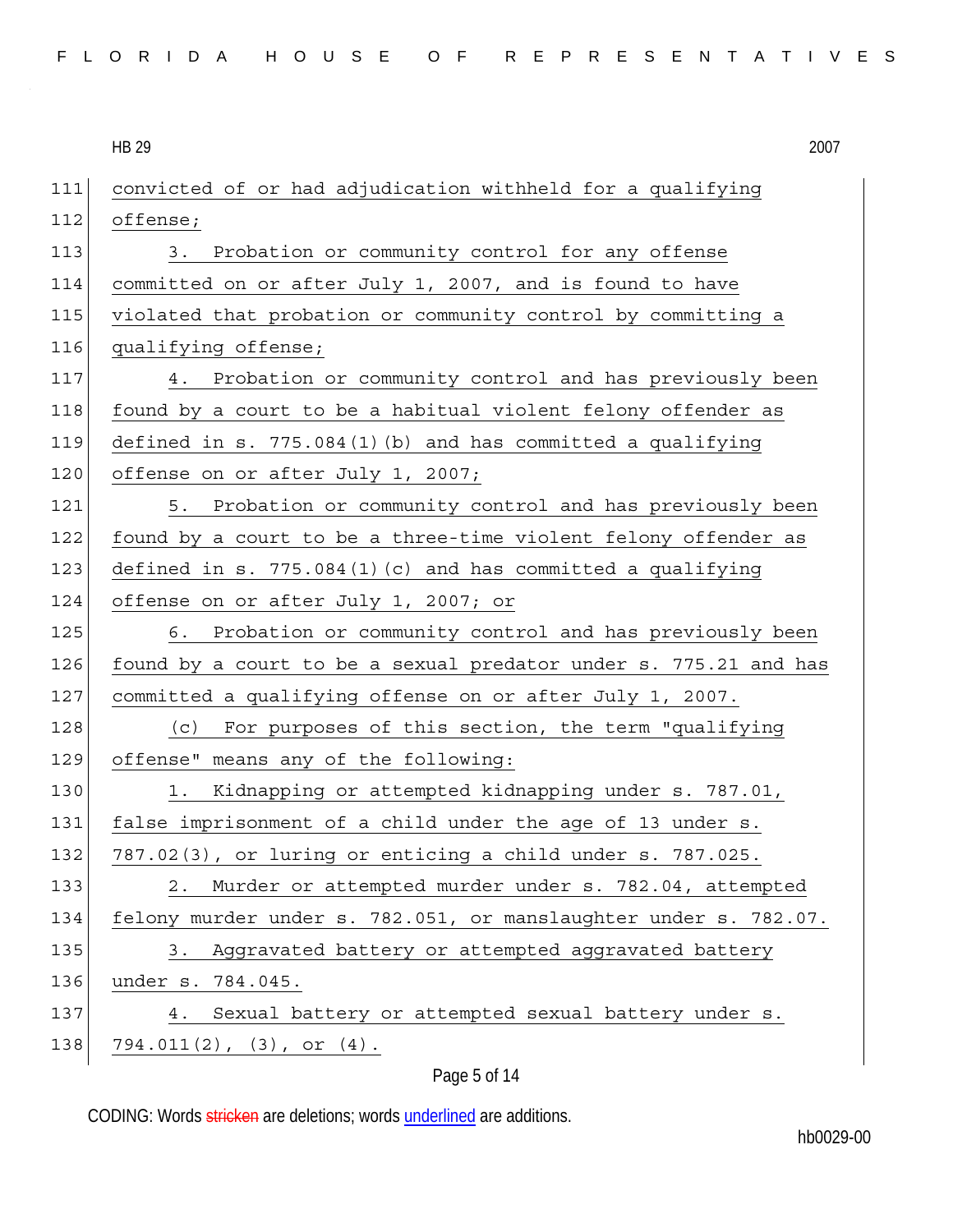|  |  |  |  |  |  | FLORIDA HOUSE OF REPRESENTATIVES |  |
|--|--|--|--|--|--|----------------------------------|--|
|--|--|--|--|--|--|----------------------------------|--|

**HB 29** HB 29 2007

| 111 | convicted of or had adjudication withheld for a qualifying       |
|-----|------------------------------------------------------------------|
| 112 | offense;                                                         |
| 113 | Probation or community control for any offense<br>3.             |
| 114 | committed on or after July 1, 2007, and is found to have         |
| 115 | violated that probation or community control by committing a     |
| 116 | qualifying offense;                                              |
| 117 | Probation or community control and has previously been<br>4.     |
| 118 | found by a court to be a habitual violent felony offender as     |
| 119 | defined in $s. 775.084(1)(b)$ and has committed a qualifying     |
| 120 | offense on or after July 1, 2007;                                |
| 121 | 5. Probation or community control and has previously been        |
| 122 | found by a court to be a three-time violent felony offender as   |
| 123 | defined in s. $775.084(1)(c)$ and has committed a qualifying     |
| 124 | offense on or after July 1, 2007; or                             |
| 125 | 6. Probation or community control and has previously been        |
| 126 | found by a court to be a sexual predator under s. 775.21 and has |
| 127 | committed a qualifying offense on or after July 1, 2007.         |
| 128 | For purposes of this section, the term "qualifying<br>(C)        |
| 129 | offense" means any of the following:                             |
| 130 | Kidnapping or attempted kidnapping under s. 787.01,<br>1.        |
| 131 | false imprisonment of a child under the age of 13 under s.       |
| 132 | 787.02(3), or luring or enticing a child under s. 787.025.       |
| 133 | Murder or attempted murder under s. 782.04, attempted<br>2.      |
| 134 | felony murder under s. 782.051, or manslaughter under s. 782.07. |
| 135 | Aggravated battery or attempted aggravated battery<br>3.         |
| 136 | under s. 784.045.                                                |
| 137 | Sexual battery or attempted sexual battery under s.<br>4.        |
| 138 | $794.011(2)$ , $(3)$ , or $(4)$ .                                |

# Page 5 of 14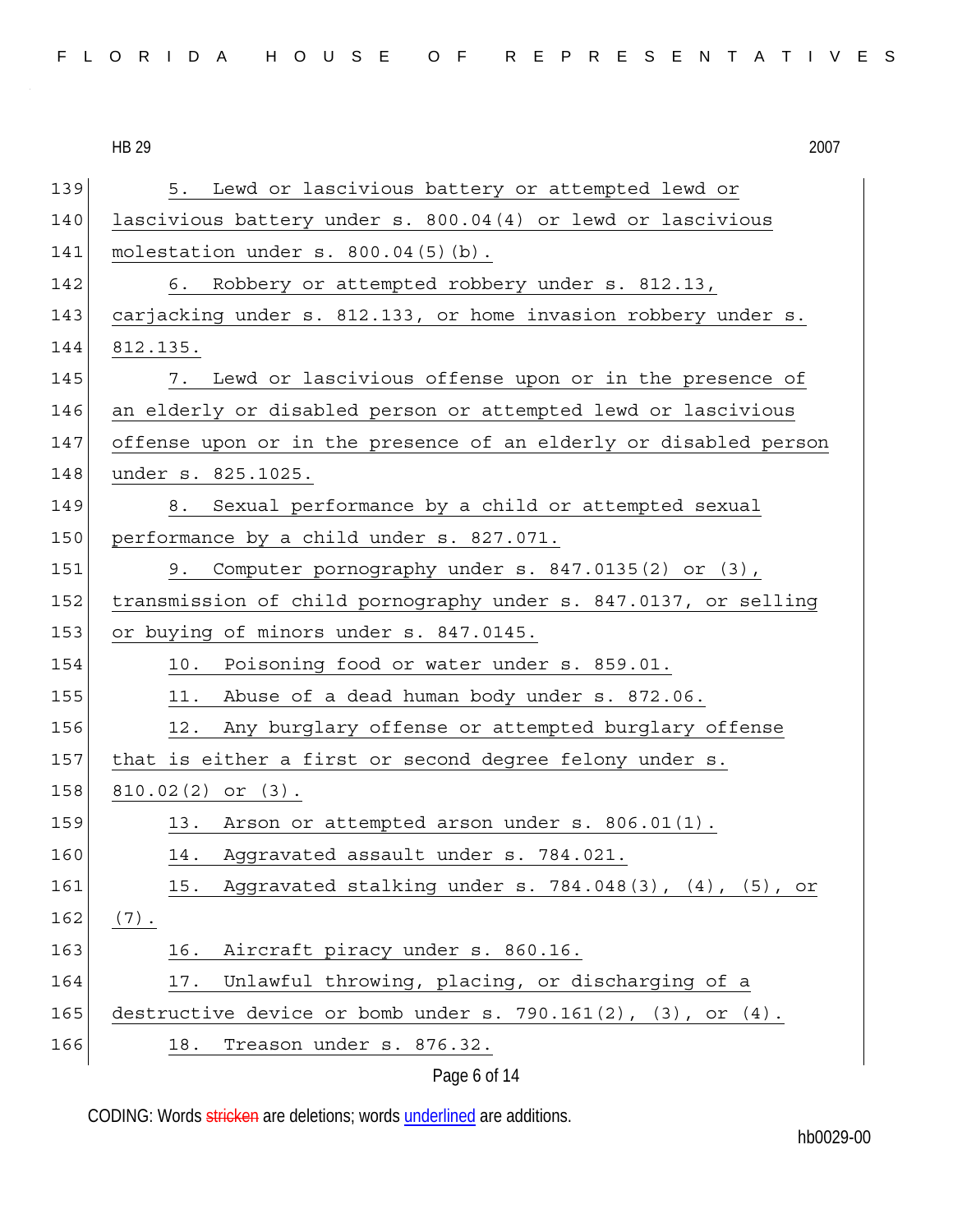| FLORIDA HOUSE OF REPRESENTATIVES |  |  |  |  |  |  |  |  |  |  |  |  |  |  |  |  |  |  |  |  |  |  |  |  |  |  |
|----------------------------------|--|--|--|--|--|--|--|--|--|--|--|--|--|--|--|--|--|--|--|--|--|--|--|--|--|--|
|----------------------------------|--|--|--|--|--|--|--|--|--|--|--|--|--|--|--|--|--|--|--|--|--|--|--|--|--|--|

139 5. Lewd or lascivious battery or attempted lewd or 140 lascivious battery under s. 800.04(4) or lewd or lascivious 141 molestation under s. 800.04(5)(b). 142 6. Robbery or attempted robbery under s. 812.13, 143 carjacking under s. 812.133, or home invasion robbery under s. 144 812.135. 145 7. Lewd or lascivious offense upon or in the presence of 146 an elderly or disabled person or attempted lewd or lascivious 147 offense upon or in the presence of an elderly or disabled person 148 under s. 825.1025. 149 8. Sexual performance by a child or attempted sexual 150 performance by a child under s. 827.071. 151 9. Computer pornography under s. 847.0135(2) or (3), 152 transmission of child pornography under s. 847.0137, or selling 153 or buying of minors under s. 847.0145. 154 10. Poisoning food or water under s. 859.01.  $155$  11. Abuse of a dead human body under s. 872.06. 156 12. Any burglary offense or attempted burglary offense 157 that is either a first or second degree felony under s. 158 810.02(2) or (3). 159 13. Arson or attempted arson under s. 806.01(1). 160 14. Aggravated assault under s. 784.021. 161 15. Aggravated stalking under s. 784.048(3), (4), (5), or  $162 | (7).$ 163 16. Aircraft piracy under s. 860.16. 164 17. Unlawful throwing, placing, or discharging of a 165 destructive device or bomb under s. 790.161 $(2)$ ,  $(3)$ , or  $(4)$ . 166 18. Treason under s. 876.32.

Page 6 of 14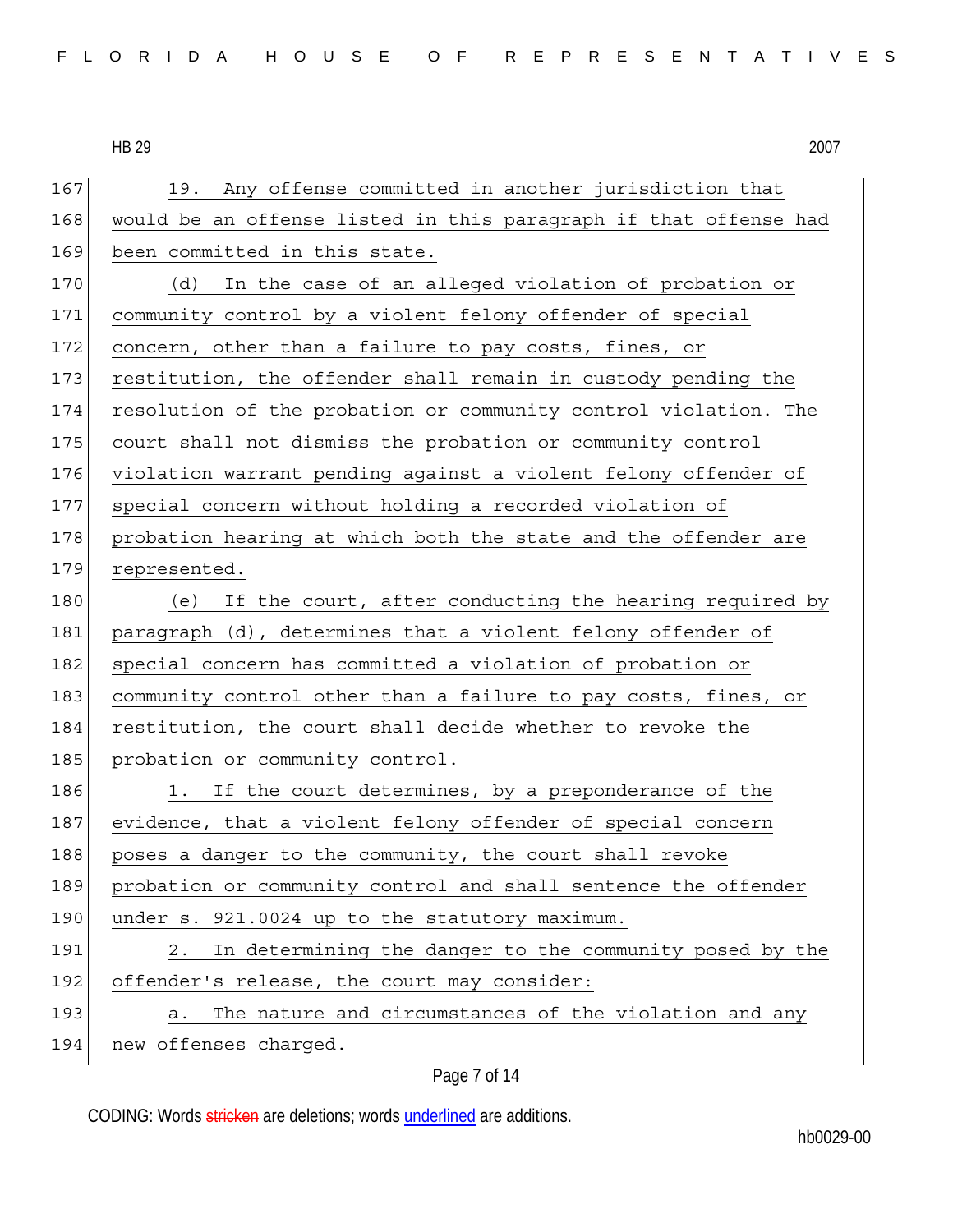| 167 | 19. Any offense committed in another jurisdiction that           |
|-----|------------------------------------------------------------------|
| 168 | would be an offense listed in this paragraph if that offense had |
| 169 | been committed in this state.                                    |
| 170 | (d)<br>In the case of an alleged violation of probation or       |
| 171 | community control by a violent felony offender of special        |
| 172 | concern, other than a failure to pay costs, fines, or            |
| 173 | restitution, the offender shall remain in custody pending the    |
| 174 | resolution of the probation or community control violation. The  |
| 175 | court shall not dismiss the probation or community control       |
| 176 | violation warrant pending against a violent felony offender of   |
| 177 | special concern without holding a recorded violation of          |
| 178 | probation hearing at which both the state and the offender are   |
| 179 | represented.                                                     |
| 180 | (e) If the court, after conducting the hearing required by       |
| 181 | paragraph (d), determines that a violent felony offender of      |
| 182 | special concern has committed a violation of probation or        |
| 183 | community control other than a failure to pay costs, fines, or   |
| 184 | restitution, the court shall decide whether to revoke the        |
| 185 | probation or community control.                                  |
| 186 | 1. If the court determines, by a preponderance of the            |
| 187 | evidence, that a violent felony offender of special concern      |
| 188 | poses a danger to the community, the court shall revoke          |
| 189 | probation or community control and shall sentence the offender   |
| 190 | under s. 921.0024 up to the statutory maximum.                   |
| 191 | In determining the danger to the community posed by the<br>2.    |
| 192 | offender's release, the court may consider:                      |
| 193 | The nature and circumstances of the violation and any<br>a.      |
| 194 | new offenses charged.                                            |

## Page 7 of 14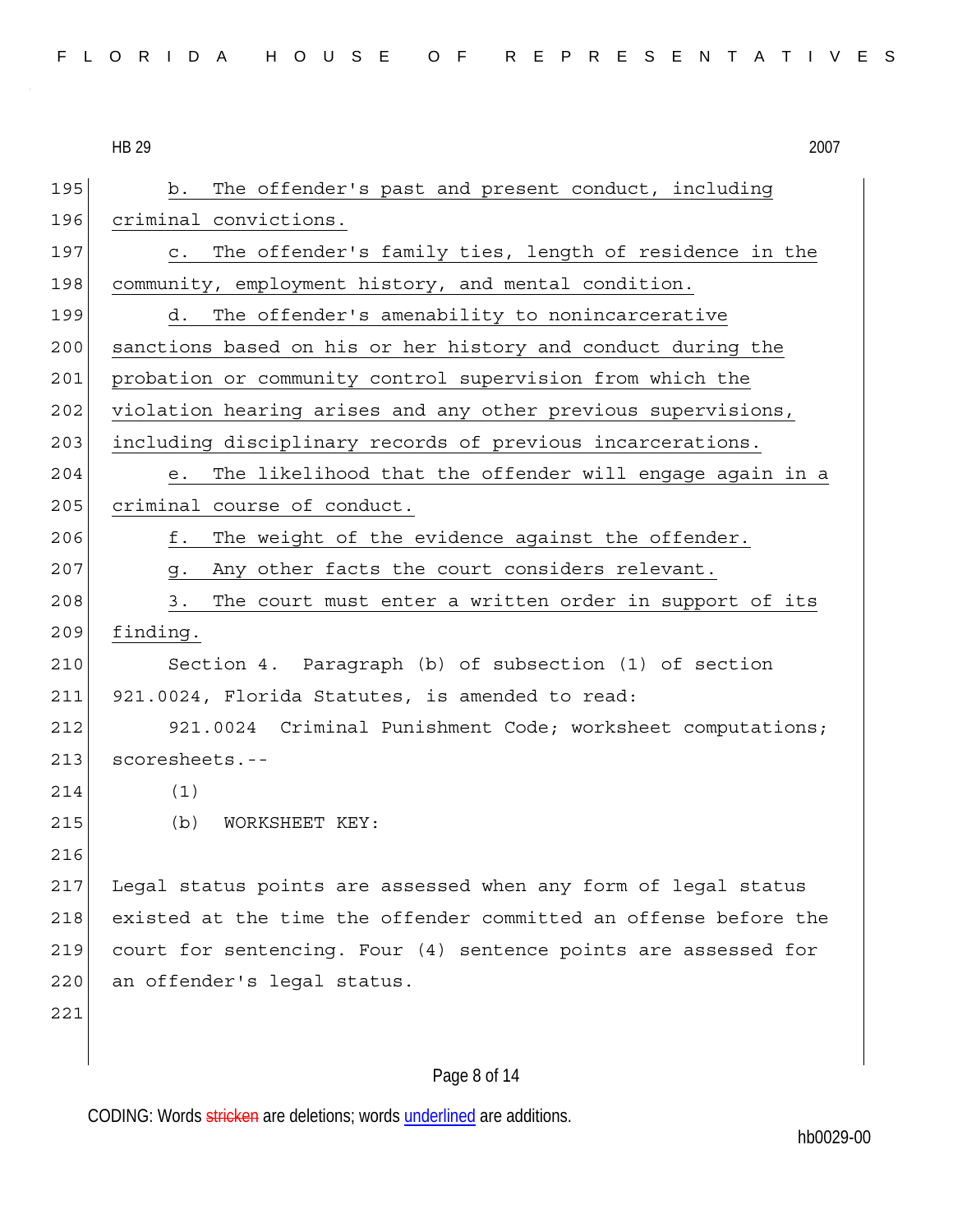HB 29 2007 195 b. The offender's past and present conduct, including 196 criminal convictions. 197 c. The offender's family ties, length of residence in the 198 community, employment history, and mental condition. 199 d. The offender's amenability to nonincarcerative 200 sanctions based on his or her history and conduct during the 201 probation or community control supervision from which the 202 violation hearing arises and any other previous supervisions, 203 including disciplinary records of previous incarcerations. 204 e. The likelihood that the offender will engage again in a 205 criminal course of conduct. 206 f. The weight of the evidence against the offender. 207 g. Any other facts the court considers relevant. 208 3. The court must enter a written order in support of its 209 finding. 210 Section 4. Paragraph (b) of subsection (1) of section 211 921.0024, Florida Statutes, is amended to read: 212 921.0024 Criminal Punishment Code; worksheet computations; 213 scoresheets.--214 (1) 215 (b) WORKSHEET KEY: 216 217 Legal status points are assessed when any form of legal status 218 existed at the time the offender committed an offense before the 219 court for sentencing. Four (4) sentence points are assessed for 220 an offender's legal status. 221

### Page 8 of 14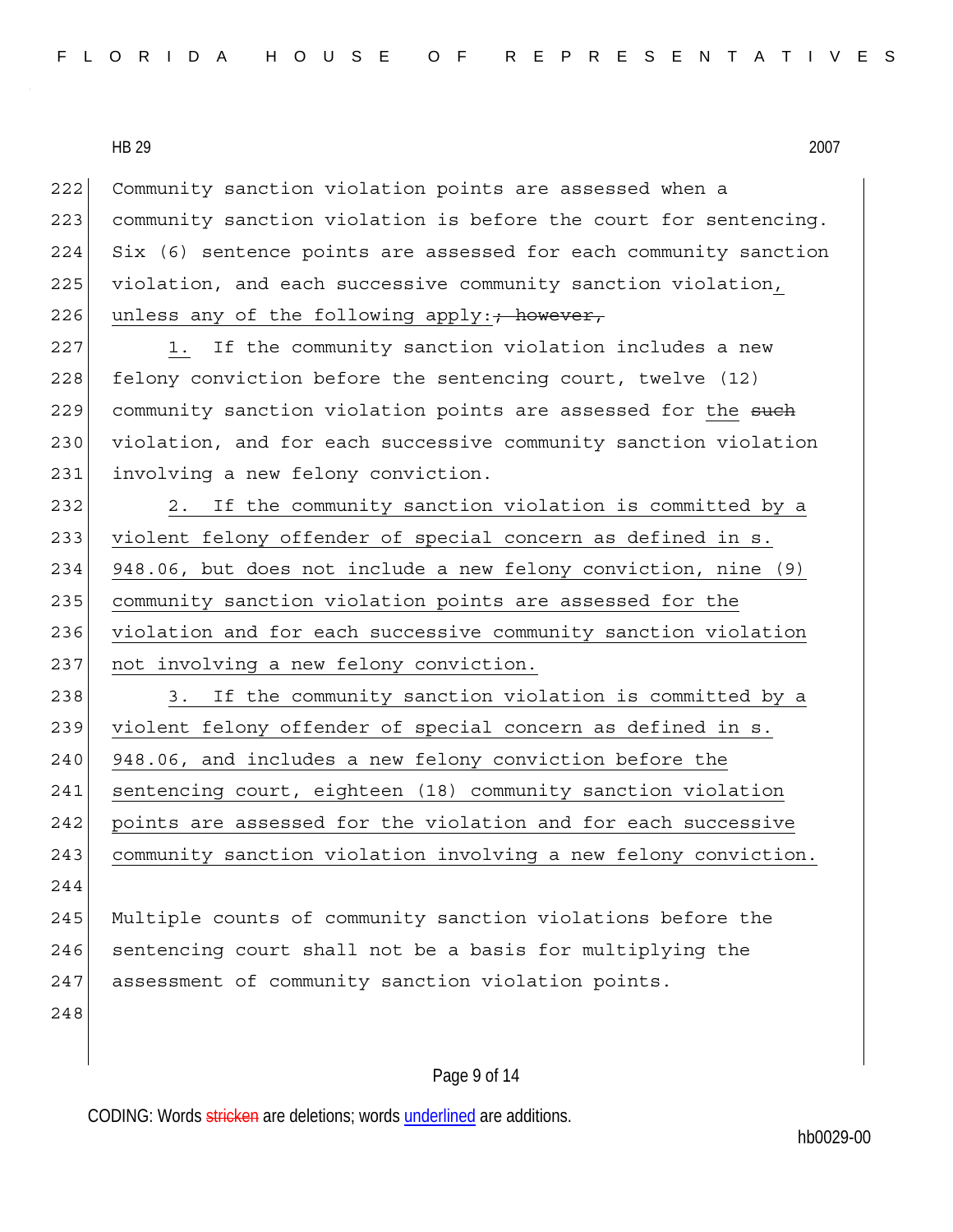222 Community sanction violation points are assessed when a 223 community sanction violation is before the court for sentencing. 224 Six (6) sentence points are assessed for each community sanction 225 violation, and each successive community sanction violation, 226 unless any of the following apply:  $\frac{1}{100}$  however, 227 1. If the community sanction violation includes a new 228 felony conviction before the sentencing court, twelve (12) 229 community sanction violation points are assessed for the such 230 violation, and for each successive community sanction violation 231 involving a new felony conviction. 232 2. If the community sanction violation is committed by a 233 violent felony offender of special concern as defined in s. 234 948.06, but does not include a new felony conviction, nine (9) 235 community sanction violation points are assessed for the 236 violation and for each successive community sanction violation 237 not involving a new felony conviction. 238 3. If the community sanction violation is committed by a 239 violent felony offender of special concern as defined in s. 240 948.06, and includes a new felony conviction before the 241 sentencing court, eighteen (18) community sanction violation 242 points are assessed for the violation and for each successive 243 community sanction violation involving a new felony conviction. 244 245 Multiple counts of community sanction violations before the 246 sentencing court shall not be a basis for multiplying the 247 assessment of community sanction violation points. 248

### Page 9 of 14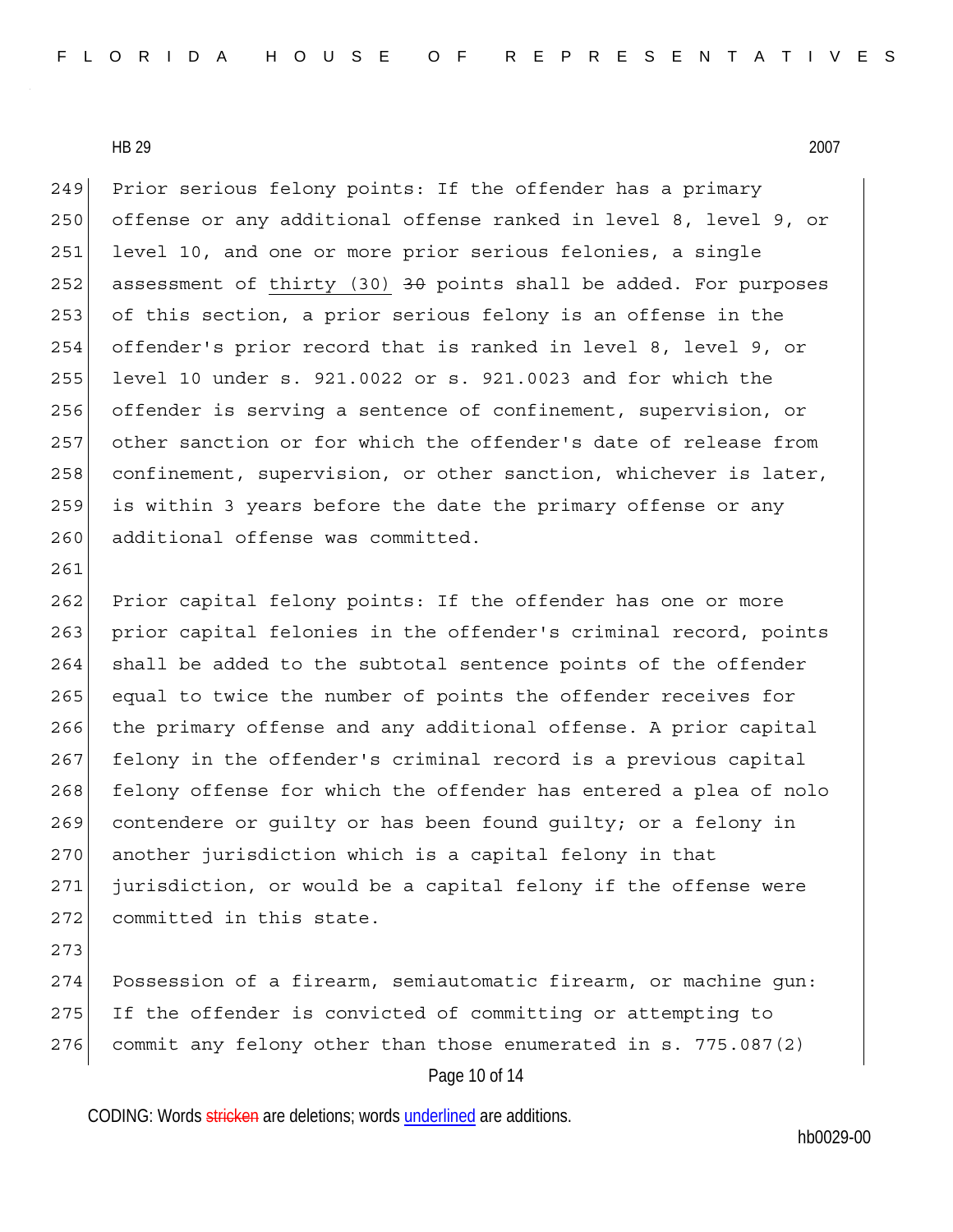249 Prior serious felony points: If the offender has a primary 250 offense or any additional offense ranked in level 8, level 9, or 251 level 10, and one or more prior serious felonies, a single 252 assessment of thirty (30) <del>30</del> points shall be added. For purposes 253 of this section, a prior serious felony is an offense in the 254 offender's prior record that is ranked in level 8, level 9, or 255 level 10 under s. 921.0022 or s. 921.0023 and for which the 256 offender is serving a sentence of confinement, supervision, or 257 other sanction or for which the offender's date of release from 258 confinement, supervision, or other sanction, whichever is later, 259 is within 3 years before the date the primary offense or any 260 additional offense was committed.

262 Prior capital felony points: If the offender has one or more 263 prior capital felonies in the offender's criminal record, points 264 shall be added to the subtotal sentence points of the offender 265 equal to twice the number of points the offender receives for 266 the primary offense and any additional offense. A prior capital 267 felony in the offender's criminal record is a previous capital 268 felony offense for which the offender has entered a plea of nolo 269 contendere or guilty or has been found guilty; or a felony in 270 another jurisdiction which is a capital felony in that 271 jurisdiction, or would be a capital felony if the offense were 272 committed in this state.

273

261

Page 10 of 14 274 Possession of a firearm, semiautomatic firearm, or machine gun: 275 | If the offender is convicted of committing or attempting to 276 commit any felony other than those enumerated in s. 775.087(2)

CODING: Words stricken are deletions; words underlined are additions.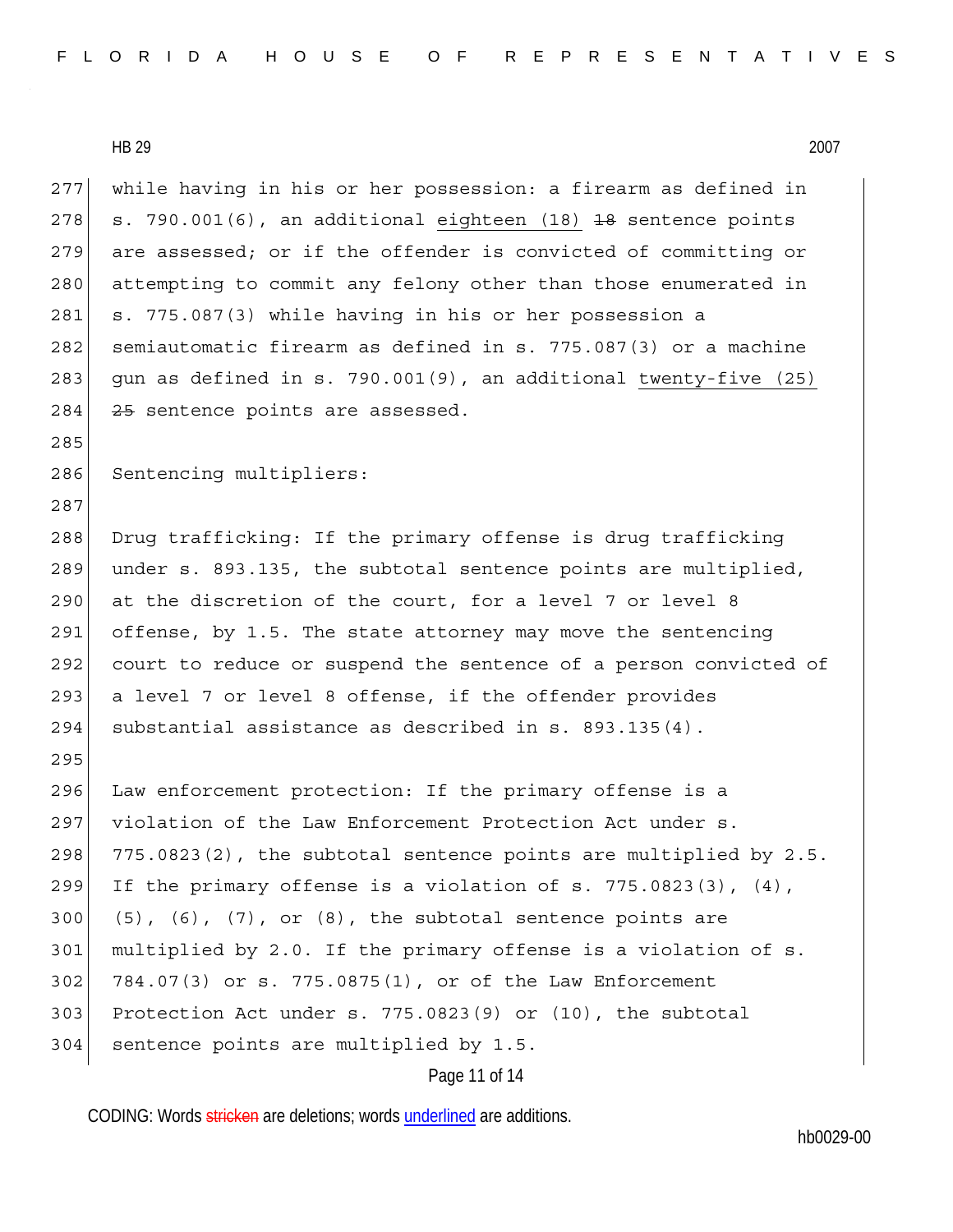Page 11 of 14 277 while having in his or her possession: a firearm as defined in 278  $\vert$  s. 790.001(6), an additional eighteen (18) <del>18</del> sentence points 279 are assessed; or if the offender is convicted of committing or 280 attempting to commit any felony other than those enumerated in 281 s. 775.087(3) while having in his or her possession a 282 semiautomatic firearm as defined in s. 775.087(3) or a machine 283 gun as defined in s. 790.001(9), an additional twenty-five  $(25)$ 284 25 sentence points are assessed. 285 286 Sentencing multipliers: 287 288 Drug trafficking: If the primary offense is drug trafficking 289 under s. 893.135, the subtotal sentence points are multiplied, 290 at the discretion of the court, for a level 7 or level 8 291 offense, by 1.5. The state attorney may move the sentencing 292 court to reduce or suspend the sentence of a person convicted of 293 a level 7 or level 8 offense, if the offender provides 294 substantial assistance as described in s. 893.135(4). 295 296 Law enforcement protection: If the primary offense is a 297 violation of the Law Enforcement Protection Act under s.  $298$   $775.0823(2)$ , the subtotal sentence points are multiplied by 2.5. 299 If the primary offense is a violation of s. 775.0823(3),  $(4)$ ,  $300($  (5), (6), (7), or (8), the subtotal sentence points are 301 multiplied by 2.0. If the primary offense is a violation of s. 302 784.07(3) or s. 775.0875(1), or of the Law Enforcement 303 Protection Act under s. 775.0823(9) or (10), the subtotal 304 sentence points are multiplied by 1.5.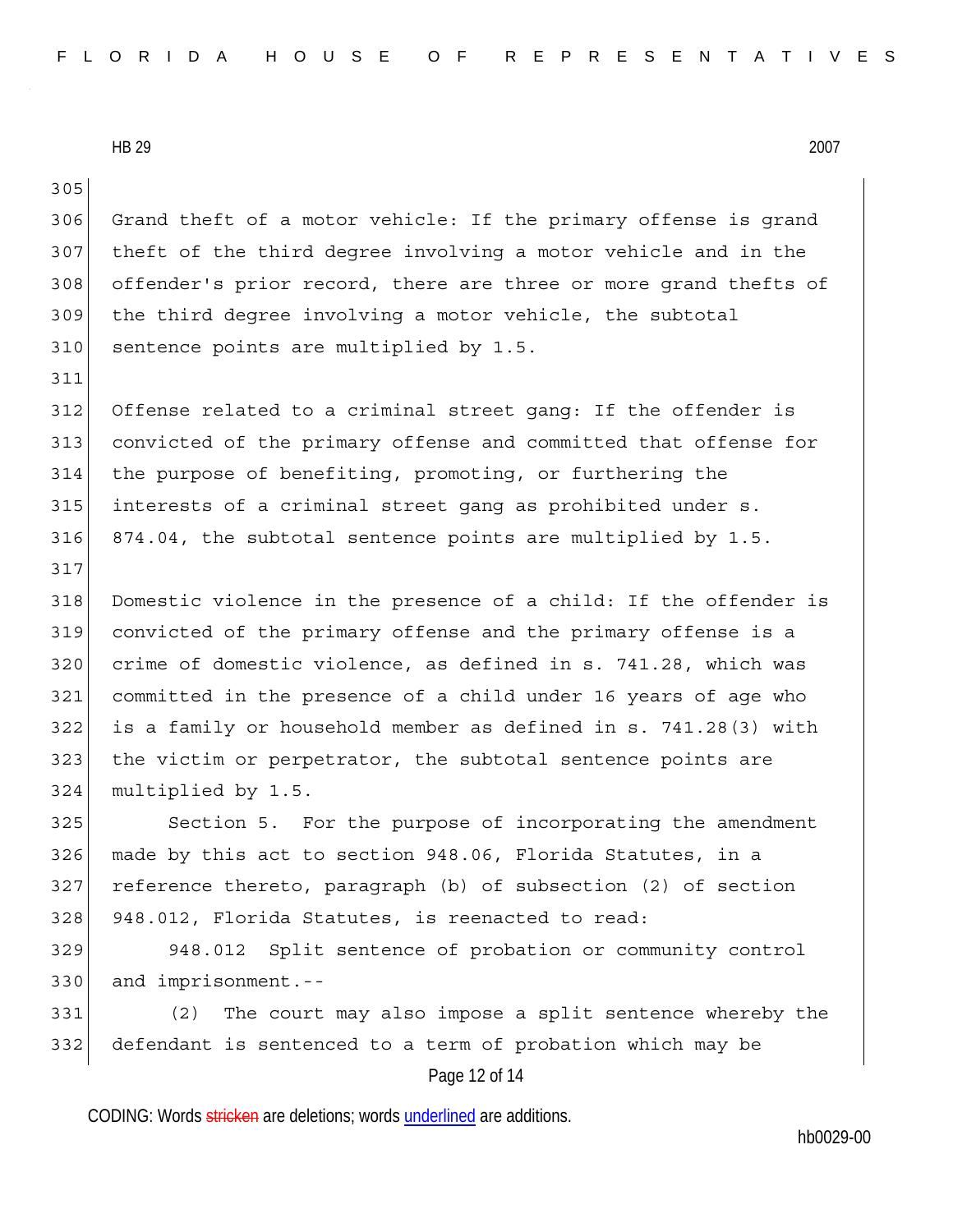305

311

317

306 Grand theft of a motor vehicle: If the primary offense is grand 307 theft of the third degree involving a motor vehicle and in the 308 offender's prior record, there are three or more grand thefts of 309 the third degree involving a motor vehicle, the subtotal 310 sentence points are multiplied by 1.5.

312 Offense related to a criminal street gang: If the offender is 313 convicted of the primary offense and committed that offense for 314 the purpose of benefiting, promoting, or furthering the 315 interests of a criminal street gang as prohibited under s. 316 874.04, the subtotal sentence points are multiplied by 1.5.

318 Domestic violence in the presence of a child: If the offender is 319 convicted of the primary offense and the primary offense is a 320 crime of domestic violence, as defined in s. 741.28, which was 321 committed in the presence of a child under 16 years of age who 322 is a family or household member as defined in s. 741.28(3) with 323 the victim or perpetrator, the subtotal sentence points are 324 multiplied by 1.5.

325 Section 5. For the purpose of incorporating the amendment 326 made by this act to section 948.06, Florida Statutes, in a 327 reference thereto, paragraph (b) of subsection (2) of section 328 948.012, Florida Statutes, is reenacted to read:

329 948.012 Split sentence of probation or community control 330 and imprisonment.--

331 (2) The court may also impose a split sentence whereby the 332 defendant is sentenced to a term of probation which may be

Page 12 of 14

CODING: Words stricken are deletions; words underlined are additions.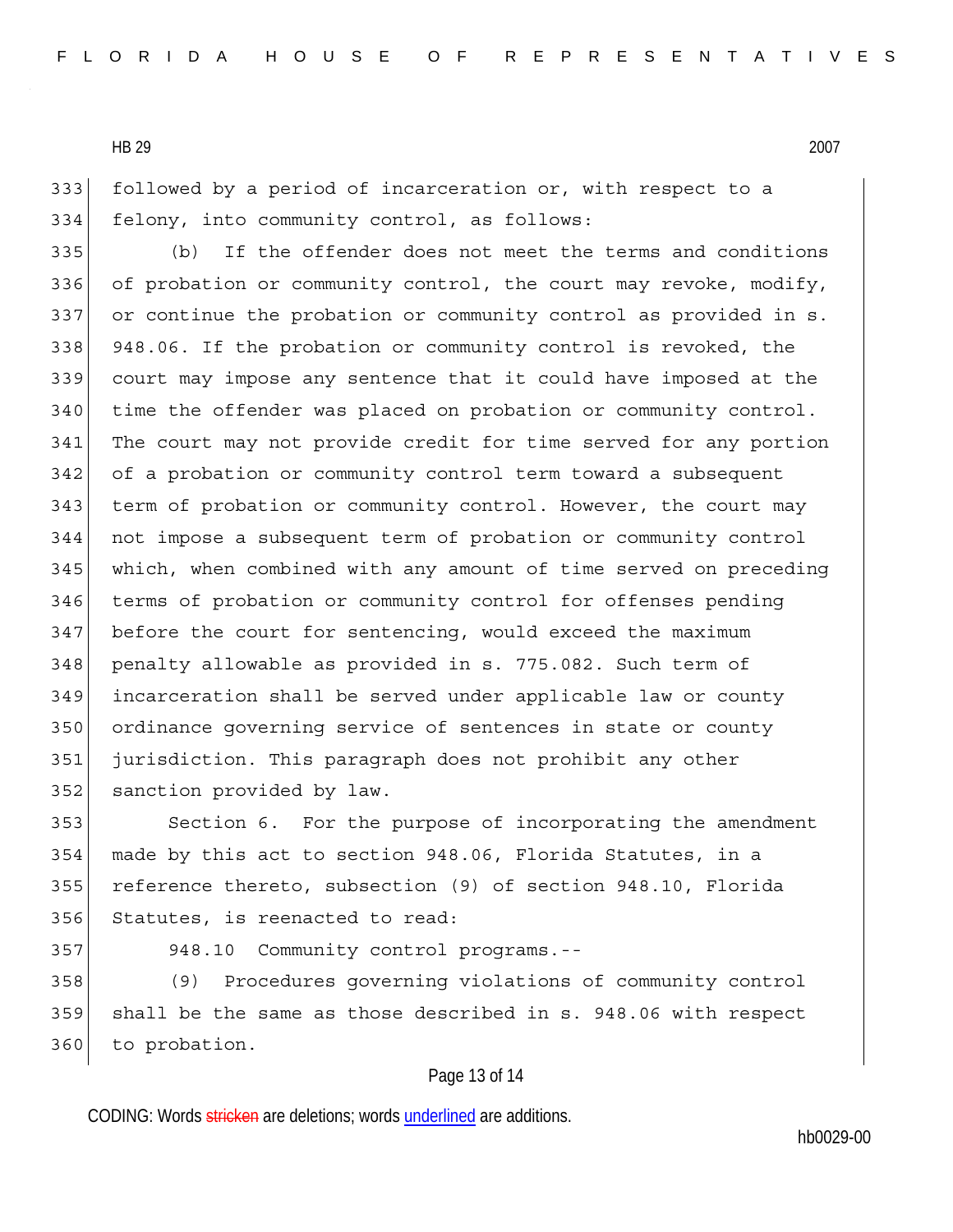333 followed by a period of incarceration or, with respect to a 334 felony, into community control, as follows:

335 (b) If the offender does not meet the terms and conditions 336 of probation or community control, the court may revoke, modify, 337 or continue the probation or community control as provided in s. 338 948.06. If the probation or community control is revoked, the 339 court may impose any sentence that it could have imposed at the 340 time the offender was placed on probation or community control. 341 The court may not provide credit for time served for any portion 342 of a probation or community control term toward a subsequent 343 term of probation or community control. However, the court may 344 not impose a subsequent term of probation or community control 345 which, when combined with any amount of time served on preceding 346 terms of probation or community control for offenses pending 347 before the court for sentencing, would exceed the maximum 348 penalty allowable as provided in s. 775.082. Such term of 349 incarceration shall be served under applicable law or county 350 ordinance governing service of sentences in state or county 351 jurisdiction. This paragraph does not prohibit any other 352 sanction provided by law.

353 Section 6. For the purpose of incorporating the amendment 354 made by this act to section 948.06, Florida Statutes, in a 355 reference thereto, subsection (9) of section 948.10, Florida 356 Statutes, is reenacted to read:

357 948.10 Community control programs.--

358 (9) Procedures governing violations of community control 359 shall be the same as those described in s. 948.06 with respect 360 to probation.

#### Page 13 of 14

CODING: Words stricken are deletions; words underlined are additions.